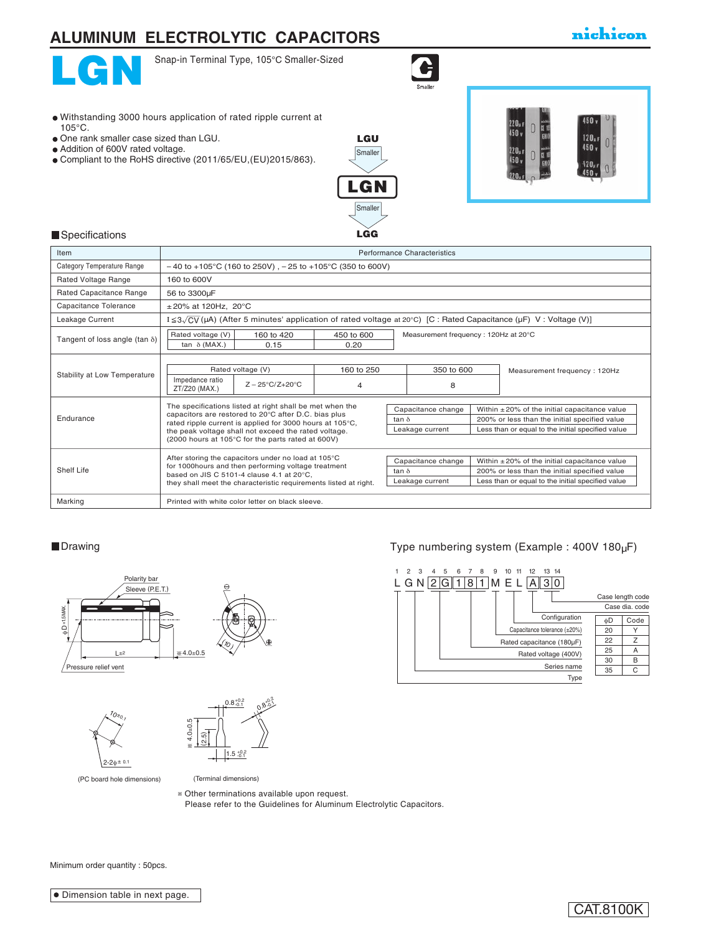# **ALUMINUM ELECTROLYTIC CAPACITORS**

## nichicon



Snap-in Terminal Type, 105°C Smaller-Sized

 $\bullet$ 

- Withstanding 3000 hours application of rated ripple current at 105°C.
- One rank smaller case sized than LGU.
- Addition of 600V rated voltage.
- Compliant to the RoHS directive (2011/65/EU,(EU)2015/863).



LGU



#### **Specifications**

| Item                                  | Performance Characteristics                                                                                      |                                                              |            |                    |                                      |                                               |                                                                                                                                             |  |
|---------------------------------------|------------------------------------------------------------------------------------------------------------------|--------------------------------------------------------------|------------|--------------------|--------------------------------------|-----------------------------------------------|---------------------------------------------------------------------------------------------------------------------------------------------|--|
| Category Temperature Range            |                                                                                                                  | $-40$ to +105°C (160 to 250V), $-25$ to +105°C (350 to 600V) |            |                    |                                      |                                               |                                                                                                                                             |  |
| Rated Voltage Range                   | 160 to 600V                                                                                                      |                                                              |            |                    |                                      |                                               |                                                                                                                                             |  |
| Rated Capacitance Range               | 56 to 3300µF                                                                                                     |                                                              |            |                    |                                      |                                               |                                                                                                                                             |  |
| Capacitance Tolerance                 | $±20\%$ at 120Hz, 20 $°C$                                                                                        |                                                              |            |                    |                                      |                                               |                                                                                                                                             |  |
| Leakage Current                       |                                                                                                                  |                                                              |            |                    |                                      |                                               | $I \leq 3\sqrt{CV}$ ( $\mu A$ ) (After 5 minutes' application of rated voltage at 20°C) [C : Rated Capacitance ( $\mu F$ ) V : Voltage (V)] |  |
|                                       | Rated voltage (V)                                                                                                | 160 to 420                                                   | 450 to 600 |                    | Measurement frequency: 120Hz at 20°C |                                               |                                                                                                                                             |  |
| Tangent of loss angle (tan $\delta$ ) | tan $\delta$ (MAX.)                                                                                              | 0.15                                                         | 0.20       |                    |                                      |                                               |                                                                                                                                             |  |
|                                       |                                                                                                                  |                                                              |            |                    |                                      |                                               |                                                                                                                                             |  |
| Stability at Low Temperature          | Rated voltage (V)                                                                                                |                                                              | 160 to 250 |                    | 350 to 600                           |                                               | Measurement frequency: 120Hz                                                                                                                |  |
|                                       | Impedance ratio<br>ZT/Z20 (MAX.)                                                                                 | $Z - 25^{\circ}C/Z + 20^{\circ}C$                            | 4          |                    | 8                                    |                                               |                                                                                                                                             |  |
|                                       |                                                                                                                  | The specifications listed at right shall be met when the     |            | Capacitance change |                                      |                                               | Within $\pm 20\%$ of the initial capacitance value                                                                                          |  |
| Endurance                             |                                                                                                                  | capacitors are restored to 20°C after D.C. bias plus         |            | tan $\delta$       |                                      | 200% or less than the initial specified value |                                                                                                                                             |  |
|                                       | rated ripple current is applied for 3000 hours at 105°C,<br>the peak voltage shall not exceed the rated voltage. |                                                              |            | Leakage current    |                                      |                                               | Less than or equal to the initial specified value                                                                                           |  |
|                                       |                                                                                                                  | (2000 hours at 105°C for the parts rated at 600V)            |            |                    |                                      |                                               |                                                                                                                                             |  |
|                                       |                                                                                                                  | After storing the capacitors under no load at 105°C          |            |                    |                                      |                                               | Within $\pm 20\%$ of the initial capacitance value                                                                                          |  |
| Shelf Life                            |                                                                                                                  | for 1000hours and then performing voltage treatment          |            | tan $\delta$       | Capacitance change                   |                                               | 200% or less than the initial specified value                                                                                               |  |
|                                       | based on JIS C 5101-4 clause 4.1 at 20°C,<br>they shall meet the characteristic requirements listed at right.    |                                                              |            | Leakage current    |                                      |                                               | Less than or equal to the initial specified value                                                                                           |  |
|                                       |                                                                                                                  |                                                              |            |                    |                                      |                                               |                                                                                                                                             |  |
| Marking                               |                                                                                                                  | Printed with white color letter on black sleeve.             |            |                    |                                      |                                               |                                                                                                                                             |  |







(PC board hole dimensions)

(Terminal dimensions)

Other terminations available upon request.

Please refer to the Guidelines for Aluminum Electrolytic Capacitors.

### ■Drawing Drawing Type numbering system (Example : 400V 180µF)



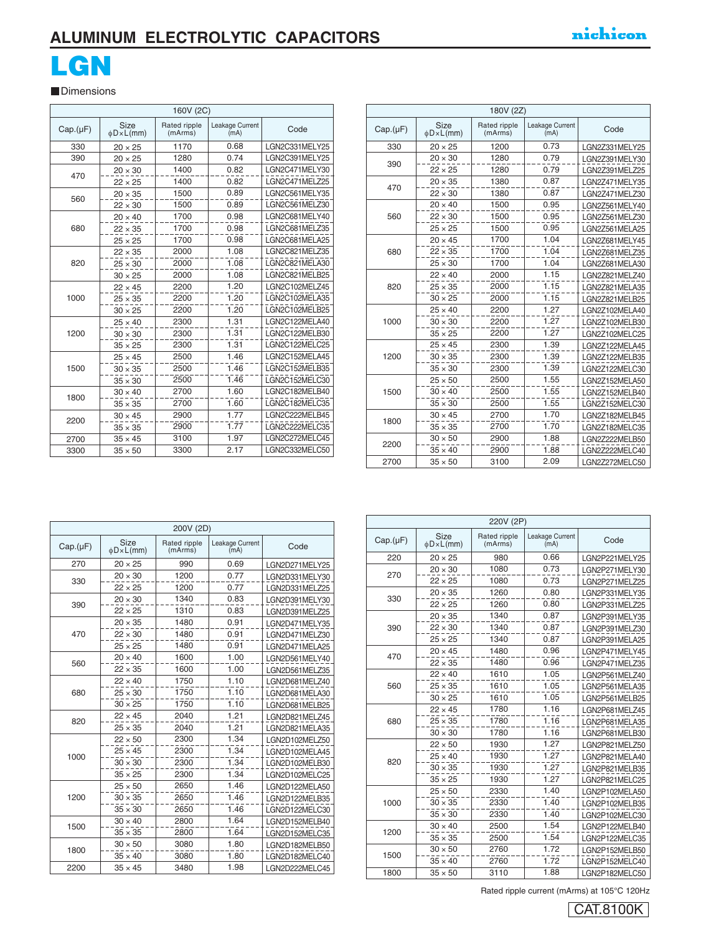# **ALUMINUM ELECTROLYTIC CAPACITORS ALUMINUM ELECTROLYTIC CAPACITORS**

# LGN LGN

Dimensions Dimensions

|          |                        | 160V (2C)                                          |      |                |
|----------|------------------------|----------------------------------------------------|------|----------------|
| Cap.(µF) | Size<br>$\phi$ D×L(mm) | Rated ripple<br>Leakage Current<br>(mA)<br>(mArms) |      | Code           |
| 330      | $20 \times 25$         | 1170                                               | 0.68 | LGN2C331MELY25 |
| 390      | $20 \times 25$         | 1280                                               | 0.74 | LGN2C391MELY25 |
| 470      | $20 \times 30$         | 1400                                               | 0.82 | LGN2C471MELY30 |
|          | $22 \times 25$         | 1400                                               | 0.82 | LGN2C471MELZ25 |
| 560      | $20 \times 35$         | 1500                                               | 0.89 | LGN2C561MELY35 |
|          | $22 \times 30$         | 1500                                               | 0.89 | LGN2C561MELZ30 |
|          | $20 \times 40$         | 1700                                               | 0.98 | LGN2C681MELY40 |
| 680      | $22 \times 35$         | 1700                                               | 0.98 | LGN2C681MELZ35 |
|          | $25 \times 25$         | 1700                                               | 0.98 | LGN2C681MELA25 |
|          | $22 \times 35$         | 2000                                               | 1.08 | LGN2C821MELZ35 |
| 820      | $25 \times 30$         | 2000                                               | 1.08 | LGN2C821MELA30 |
|          | $30 \times 25$         | 2000                                               | 1.08 | LGN2C821MELB25 |
|          | $22 \times 45$         | 2200                                               | 1.20 | LGN2C102MELZ45 |
| 1000     | $25 \times 35$         | 2200                                               | 1.20 | LGN2C102MELA35 |
|          | $30 \times 25$         | 2200                                               | 1.20 | LGN2C102MELB25 |
|          | $25 \times 40$         | 2300                                               | 1.31 | LGN2C122MELA40 |
| 1200     | $30 \times 30$         | 2300                                               | 1.31 | LGN2C122MELB30 |
|          | $35 \times 25$         | 2300                                               | 1.31 | LGN2C122MELC25 |
|          | $25 \times 45$         | 2500                                               | 1.46 | LGN2C152MELA45 |
| 1500     | $30 \times 35$         | 2500                                               | 1.46 | LGN2C152MELB35 |
|          | $35 \times 30$         | 2500                                               | 1.46 | LGN2C152MELC30 |
| 1800     | $30 \times 40$         | 2700                                               | 1.60 | LGN2C182MELB40 |
|          | $35 \times 35$         | 2700                                               | 1.60 | LGN2C182MELC35 |
| 2200     | $30 \times 45$         | 2900                                               | 1.77 | LGN2C222MELB45 |
|          | $35 \times 35$         | 2900                                               | 1.77 | LGN2C222MELC35 |
| 2700     | $35 \times 45$         | 3100                                               | 1.97 | LGN2C272MELC45 |
| 3300     | $35 \times 50$         | 3300                                               | 2.17 | LGN2C332MELC50 |

| Cap.(µF) | Size<br>$\phi$ D×L(mm) | Rated ripple<br>(mArms) | Leakage Current<br>(mA) | Code           |  |  |  |
|----------|------------------------|-------------------------|-------------------------|----------------|--|--|--|
| 330      | $20 \times 25$         | 1200                    | 0.73                    | LGN2Z331MELY25 |  |  |  |
|          | $20 \times 30$         | 1280                    | 0.79                    | LGN2Z391MELY30 |  |  |  |
| 390      | $22 \times 25$         | 1280                    | 0.79                    | LGN2Z391MELZ25 |  |  |  |
|          | $20 \times 35$         | 1380                    | 0.87                    | LGN2Z471MELY35 |  |  |  |
| 470      | $22 \times 30$         | 1380                    | 0.87                    | LGN2Z471MELZ30 |  |  |  |
|          | $20 \times 40$         | 1500                    | 0.95                    | LGN2Z561MELY40 |  |  |  |
| 560      | $22 \times 30$         | 1500                    | 0.95                    | LGN2Z561MELZ30 |  |  |  |
|          | $25 \times 25$         | 1500                    | 0.95                    | LGN2Z561MELA25 |  |  |  |
|          | $20 \times 45$         | 1700                    | 1.04                    | LGN2Z681MELY45 |  |  |  |
| 680      | $22 \times 35$         | 1700                    | 1.04                    | LGN2Z681MELZ35 |  |  |  |
|          | $25 \times 30$         | 1700                    | 1.04                    | LGN2Z681MELA30 |  |  |  |
|          | $22 \times 40$         | 2000                    | 1.15                    | LGN2Z821MELZ40 |  |  |  |
| 820      | $25 \times 35$         | 2000                    | 1.15                    | LGN2Z821MELA35 |  |  |  |
|          | $30 \times 25$         | 2000                    | 1.15                    | LGN2Z821MELB25 |  |  |  |
|          | $25 \times 40$         | 2200                    | 1.27                    | LGN2Z102MELA40 |  |  |  |
| 1000     | $30 \times 30$         | 2200                    | 1.27                    | LGN2Z102MELB30 |  |  |  |
|          | $35 \times 25$         | 2200                    | 1.27                    | LGN2Z102MELC25 |  |  |  |
|          | $25 \times 45$         | 2300                    | 1.39                    | LGN2Z122MELA45 |  |  |  |
| 1200     | $30 \times 35$         | 2300                    | 1.39                    | LGN2Z122MELB35 |  |  |  |
|          | $35 \times 30$         | 2300                    | 1.39                    | LGN2Z122MELC30 |  |  |  |
|          | $25 \times 50$         | 2500                    | 1.55                    | LGN2Z152MELA50 |  |  |  |
| 1500     | $30 \times 40$         | 2500                    | 1.55                    | LGN2Z152MELB40 |  |  |  |
|          | $35 \times 30$         | 2500                    | 1.55                    | LGN2Z152MELC30 |  |  |  |
|          | $30 \times 45$         | 2700                    | 1.70                    | LGN2Z182MELB45 |  |  |  |
| 1800     | $35 \times 35$         | 2700                    | 1.70                    | LGN2Z182MELC35 |  |  |  |
| 2200     | $30 \times 50$         | 2900                    | 1.88                    | LGN2Z222MELB50 |  |  |  |
|          | $35 \times 40$         | 2900                    | 1.88                    | LGN2Z222MELC40 |  |  |  |
| 2700     | $35 \times 50$         | 3100                    | 2.09                    | LGN2Z272MELC50 |  |  |  |

|          |                          | 200V (2D) |                         |                |  |
|----------|--------------------------|-----------|-------------------------|----------------|--|
|          |                          |           |                         |                |  |
| Cap.(µF) | Size<br>$\phi$ D × L(mm) |           | Leakage Current<br>(mA) | Code           |  |
| 270      | $20 \times 25$           | 990       | 0.69                    | LGN2D271MELY25 |  |
| 330      | $20 \times 30$           | 1200      | 0.77                    | LGN2D331MELY30 |  |
|          | $22 \times 25$           | 1200      | 0.77                    | LGN2D331MELZ25 |  |
| 390      | $20 \times 30$           | 1340      | 0.83                    | LGN2D391MELY30 |  |
|          | $22 \times 25$           | 1310      | 0.83                    | LGN2D391MELZ25 |  |
|          | $20 \times 35$           | 1480      | 0.91                    | LGN2D471MELY35 |  |
| 470      | $22 \times 30$           | 1480      | 0.91                    | LGN2D471MELZ30 |  |
|          | $25 \times 25$           | 1480      | 0.91                    | LGN2D471MELA25 |  |
| 560      | $20 \times 40$           | 1600      | 1.00                    | LGN2D561MELY40 |  |
|          | $22 \times 35$           | 1600      | 1.00                    | LGN2D561MELZ35 |  |
|          | $22 \times 40$           | 1750      | 1.10                    | LGN2D681MELZ40 |  |
| 680      | $25 \times 30$           | 1750      | 1.10                    | LGN2D681MELA30 |  |
|          | $30 \times 25$           | 1750      | 1.10                    | LGN2D681MELB25 |  |
| 820      | $22 \times 45$           | 2040      | 1.21                    | LGN2D821MELZ45 |  |
|          | $25 \times 35$           | 2040      | 1.21                    | LGN2D821MELA35 |  |
|          | $22 \times 50$           | 2300      | 1.34                    | LGN2D102MELZ50 |  |
| 1000     | $25 \times 45$           | 2300      | 1.34                    | LGN2D102MELA45 |  |
|          | $30 \times 30$           | 2300      | 1.34                    | LGN2D102MELB30 |  |
|          | $35 \times 25$           | 2300      | 1.34                    | LGN2D102MELC25 |  |
|          | $25 \times 50$           | 2650      | 1.46                    | LGN2D122MELA50 |  |
| 1200     | $30 \times 35$           | 2650      | 1.46                    | LGN2D122MELB35 |  |
|          | $35 \times 30$           | 2650      | 1.46                    | LGN2D122MELC30 |  |
| 1500     | $30 \times 40$           | 2800      | 1.64                    | LGN2D152MELB40 |  |
|          | $35 \times 35$           | 2800      | 1.64                    | LGN2D152MELC35 |  |
| 1800     | $30 \times 50$           | 3080      | 1.80                    | LGN2D182MELB50 |  |
|          | $35 \times 40$           | 3080      | 1.80                    | LGN2D182MELC40 |  |
| 2200     | $35 \times 45$           | 3480      | 1.98                    | LGN2D222MELC45 |  |

| 220V (2P) |                                 |                         |                         |                |  |
|-----------|---------------------------------|-------------------------|-------------------------|----------------|--|
| Cap.(µF)  | <b>Size</b><br>$\phi$ D × L(mm) | Rated ripple<br>(mArms) | Leakage Current<br>(mA) | Code           |  |
| 220       | $20 \times 25$                  | 980                     | 0.66                    | LGN2P221MELY25 |  |
| 270       | $20 \times 30$                  | 1080                    | 0.73                    | LGN2P271MELY30 |  |
|           | $22 \times 25$                  | 1080                    | 0.73                    | LGN2P271MELZ25 |  |
| 330       | $20 \times 35$                  | 1260                    | 0.80                    | LGN2P331MELY35 |  |
|           | $22 \times 25$                  | 1260                    | 0.80                    | LGN2P331MELZ25 |  |
|           | $20 \times 35$                  | 1340                    | 0.87                    | LGN2P391MELY35 |  |
| 390       | $22 \times 30$                  | 1340                    | 0.87                    | LGN2P391MELZ30 |  |
|           | $25 \times 25$                  | 1340                    | 0.87                    | LGN2P391MELA25 |  |
| 470       | $20 \times 45$                  | 1480                    | 0.96                    | LGN2P471MELY45 |  |
|           | $22 \times 35$                  | 1480                    | 0.96                    | LGN2P471MELZ35 |  |
|           | $22 \times 40$                  | 1610                    | 1.05                    | LGN2P561MELZ40 |  |
| 560       | $25 \times 35$                  | 1610                    | 1.05                    | LGN2P561MELA35 |  |
|           | $30 \times 25$                  | 1610                    | 1.05                    | LGN2P561MELB25 |  |
|           | $22 \times 45$                  | 1780                    | 1.16                    | LGN2P681MELZ45 |  |
| 680       | $25 \times 35$                  | 1780                    | 1.16                    | LGN2P681MELA35 |  |
|           | $30 \times 30$                  | 1780                    | 1.16                    | LGN2P681MELB30 |  |
|           | $22 \times 50$                  | 1930                    | 1 27                    | LGN2P821MELZ50 |  |
| 820       | $25 \times 40$                  | 1930                    | 1.27                    | LGN2P821MELA40 |  |
|           | $30 \times 35$                  | 1930                    | 1.27                    | LGN2P821MELB35 |  |
|           | $35 \times 25$                  | 1930                    | 1.27                    | LGN2P821MELC25 |  |
|           | $25 \times 50$                  | 2330                    | 1.40                    | LGN2P102MELA50 |  |
| 1000      | $30 \times 35$                  | 2330                    | 1.40                    | LGN2P102MELB35 |  |
|           | $35 \times 30$                  | 2330                    | 1.40                    | LGN2P102MELC30 |  |
| 1200      | $30 \times 40$                  | 2500                    | 1.54                    | LGN2P122MELB40 |  |
|           | $35 \times 35$                  | 2500                    | 1.54                    | LGN2P122MELC35 |  |
| 1500      | $30 \times 50$                  | 2760                    | 1.72                    | LGN2P152MELB50 |  |
|           | $35 \times 40$                  | 2760                    | 1.72                    | LGN2P152MELC40 |  |
| 1800      | $35 \times 50$                  | 3110                    | 1.88                    | LGN2P182MELC50 |  |

Rated ripple current (mArms) at 105°C 120Hz Rated ripple current (mArms) at 105°C 120Hz

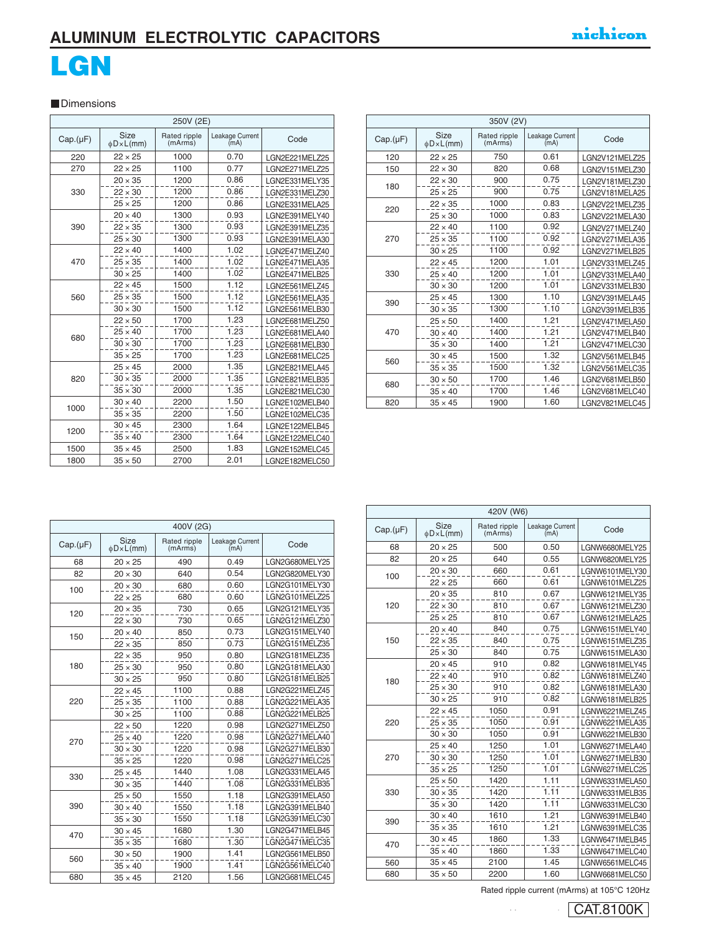## **ALUMINUM ELECTROLYTIC CAPACITORS ALUMINUM ELECTROLYTIC CAPACITORS**

# LGN **LOWIN**

#### **Dimensions**

| 250V (2E) |                        |                         |                         |                |  |
|-----------|------------------------|-------------------------|-------------------------|----------------|--|
| Cap.(µF)  | Size<br>$\phi$ D×L(mm) | Rated ripple<br>(mArms) | Leakage Current<br>(mA) | Code           |  |
| 220       | $22 \times 25$         | 1000                    | 0.70                    | LGN2E221MELZ25 |  |
| 270       | $22 \times 25$         | 1100                    | 0.77                    | LGN2E271MELZ25 |  |
|           | $20 \times 35$         | 1200                    | 0.86                    | LGN2E331MELY35 |  |
| 330       | $22 \times 30$         | 1200                    | 0.86                    | LGN2E331MELZ30 |  |
|           | $25 \times 25$         | 1200                    | 0.86                    | LGN2E331MELA25 |  |
|           | $20 \times 40$         | 1300                    | 0.93                    | LGN2E391MELY40 |  |
| 390       | $22 \times 35$         | 1300                    | 0.93                    | LGN2E391MELZ35 |  |
|           | $25 \times 30$         | 1300                    | 0.93                    | LGN2E391MELA30 |  |
|           | $22 \times 40$         | 1400                    | 1.02                    | LGN2E471MELZ40 |  |
| 470       | $25 \times 35$         | 1400                    | 1.02                    | LGN2E471MELA35 |  |
|           | $30 \times 25$         | 1400                    | 1.02                    | LGN2E471MELB25 |  |
|           | $22 \times 45$         | 1500                    | 1.12                    | LGN2E561MELZ45 |  |
| 560       | $25 \times 35$         | 1500                    | 1.12                    | LGN2E561MELA35 |  |
|           | $30 \times 30$         | 1500                    | 1.12                    | LGN2E561MELB30 |  |
|           | $22 \times 50$         | 1700                    | 1.23                    | LGN2E681MELZ50 |  |
| 680       | $25 \times 40$         | 1700                    | 1.23                    | LGN2E681MELA40 |  |
|           | $30 \times 30$         | 1700                    | 1.23                    | LGN2E681MELB30 |  |
|           | $35 \times 25$         | 1700                    | 1.23                    | LGN2E681MELC25 |  |
|           | $25 \times 45$         | 2000                    | 1.35                    | LGN2E821MELA45 |  |
| 820       | $30 \times 35$         | 2000                    | 1.35                    | LGN2E821MELB35 |  |
|           | $35 \times 30$         | 2000                    | 1.35                    | LGN2E821MELC30 |  |
|           | $30 \times 40$         | 2200                    | 1.50                    | LGN2E102MELB40 |  |
| 1000      | $35 \times 35$         | 2200                    | 1.50                    | LGN2E102MELC35 |  |
|           | $30 \times 45$         | 2300                    | 1.64                    | LGN2E122MELB45 |  |
| 1200      | $35 \times 40$         | 2300                    | 1.64                    | LGN2E122MELC40 |  |
| 1500      | $35 \times 45$         | 2500                    | 1.83                    | LGN2E152MELC45 |  |
| 1800      | $35 \times 50$         | 2700                    | 2.01                    | LGN2E182MELC50 |  |

| 350V (2V) |                          |                         |                         |                |  |
|-----------|--------------------------|-------------------------|-------------------------|----------------|--|
| Cap.(µF)  | Size<br>$\phi$ D × L(mm) | Rated ripple<br>(mArms) | Leakage Current<br>(mA) | Code           |  |
| 120       | $22 \times 25$           | 750                     | 0.61                    | LGN2V121MELZ25 |  |
| 150       | $22 \times 30$           | 820                     | 0.68                    | LGN2V151MELZ30 |  |
| 180       | $22 \times 30$           | 900                     | 0.75                    | LGN2V181MELZ30 |  |
|           | $25 \times 25$           | 900                     | 0.75                    | LGN2V181MELA25 |  |
| 220       | $22 \times 35$           | 1000                    | 0.83                    | LGN2V221MELZ35 |  |
|           | $25 \times 30$           | 1000                    | 0.83                    | LGN2V221MELA30 |  |
|           | $22 \times 40$           | 1100                    | 0.92                    | LGN2V271MELZ40 |  |
| 270       | $25 \times 35$           | 1100                    | 0.92                    | LGN2V271MELA35 |  |
|           | $30 \times 25$           | 1100                    | 0.92                    | LGN2V271MELB25 |  |
|           | $22 \times 45$           | 1200                    | 1.01                    | LGN2V331MELZ45 |  |
| 330       | $25 \times 40$           | 1200                    | 1.01                    | LGN2V331MELA40 |  |
|           | $30 \times 30$           | 1200                    | 1.01                    | LGN2V331MELB30 |  |
| 390       | $25 \times 45$           | 1300                    | 1.10                    | LGN2V391MELA45 |  |
|           | $30 \times 35$           | 1300                    | 1.10                    | LGN2V391MELB35 |  |
|           | $25 \times 50$           | 1400                    | 1.21                    | LGN2V471MELA50 |  |
| 470       | $30 \times 40$           | 1400                    | 1.21                    | LGN2V471MELB40 |  |
|           | $35 \times 30$           | 1400                    | 1.21                    | LGN2V471MELC30 |  |
| 560       | $30 \times 45$           | 1500                    | 1.32                    | LGN2V561MELB45 |  |
|           | $35 \times 35$           | 1500                    | 1.32                    | LGN2V561MELC35 |  |
| 680       | $30 \times 50$           | 1700                    | 1.46                    | LGN2V681MELB50 |  |
|           | $35 \times 40$           | 1700                    | 1.46                    | LGN2V681MELC40 |  |
| 820       | $35 \times 45$           | 1900                    | 1.60                    | LGN2V821MELC45 |  |

|          |                        | 400V (2G)               |                         |                |
|----------|------------------------|-------------------------|-------------------------|----------------|
| Cap.(µF) | Size<br>$\phi$ D×L(mm) | Rated ripple<br>(mArms) | Leakage Current<br>(mA) | Code           |
| 68       | $20 \times 25$         | 490                     | 0.49                    | LGN2G680MELY25 |
| 82       | $20 \times 30$         | 640                     | 0.54                    | LGN2G820MELY30 |
| 100      | $20 \times 30$         | 680                     | 0.60                    | LGN2G101MELY30 |
|          | $22 \times 25$         | 680                     | 0.60                    | LGN2G101MELZ25 |
| 120      | $20 \times 35$         | 730                     | 0.65                    | LGN2G121MELY35 |
|          | $22 \times 30$         | 730                     | 0.65                    | LGN2G121MELZ30 |
| 150      | $20 \times 40$         | 850                     | 0.73                    | LGN2G151MELY40 |
|          | $22 \times 35$         | 850                     | 0.73                    | LGN2G151MELZ35 |
|          | $22 \times 35$         | 950                     | 0.80                    | LGN2G181MELZ35 |
| 180      | $25 \times 30$         | 950                     | 0.80                    | LGN2G181MELA30 |
|          | $30 \times 25$         | 950                     | 0.80                    | LGN2G181MELB25 |
|          | $22 \times 45$         | 1100                    | 0.88                    | LGN2G221MELZ45 |
| 220      | $25 \times 35$         | 1100                    | 0.88                    | LGN2G221MELA35 |
|          | $30 \times 25$         | 1100                    | 0.88                    | LGN2G221MELB25 |
|          | $22 \times 50$         | 1220                    | 0.98                    | LGN2G271MELZ50 |
| 270      | $25 \times 40$         | 1220                    | 0.98                    | LGN2G271MELA40 |
|          | $30 \times 30$         | 1220                    | 0.98                    | LGN2G271MELB30 |
|          | $35 \times 25$         | 1220                    | 0.98                    | LGN2G271MELC25 |
| 330      | $25 \times 45$         | 1440                    | 1.08                    | LGN2G331MELA45 |
|          | $30 \times 35$         | 1440                    | 1.08                    | LGN2G331MELB35 |
|          | $25 \times 50$         | 1550                    | 1.18                    | LGN2G391MELA50 |
| 390      | $30 \times 40$         | 1550                    | 1.18                    | LGN2G391MELB40 |
|          | $35 \times 30$         | 1550                    | 1.18                    | LGN2G391MELC30 |
| 470      | $30 \times 45$         | 1680                    | 1.30                    | LGN2G471MELB45 |
|          | $35 \times 35$         | 1680                    | 1.30                    | LGN2G471MELC35 |
| 560      | $30 \times 50$         | 1900                    | 1.41                    | LGN2G561MELB50 |
|          | $35 \times 40$         | 1900                    | 1.41                    | LGN2G561MELC40 |
| 680      | $35 \times 45$         | 2120                    | 1.56                    | LGN2G681MELC45 |

| Size<br>Rated ripple<br>Leakage Current<br>Code<br>Cap.(µF)<br>(mArms)<br>(mA)<br>$\phi$ D×L(mm)<br>500<br>68<br>$20 \times 25$<br>0.50<br>LGNW6680MELY25<br>0.55<br>82<br>$20 \times 25$<br>640<br>LGNW6820MELY25<br>0.61<br>660<br>$20 \times 30$<br>LGNW6101MELY30<br>100<br>0.61<br>$22 \times 25$<br>660<br>LGNW6101MELZ25<br>0.67<br>810<br>$20 \times 35$<br>LGNW6121MELY35<br>0.67<br>120<br>810<br>$22 \times 30$<br>LGNW6121MELZ30<br>0.67<br>810<br>$25 \times 25$<br>LGNW6121MELA25<br>840<br>0.75<br>$20 \times 40$<br>LGNW6151MELY40<br>0.75<br>150<br>840<br>$22 \times 35$<br>LGNW6151MELZ35<br>0.75<br>840<br>$25 \times 30$<br>LGNW6151MELA30<br>0.82<br>910<br>$20 \times 45$<br>LGNW6181MELY45<br>$22 \times 40$<br>910<br>0.82<br>LGNW6181MELZ40<br>180<br>0.82<br>$25 \times 30$<br>910<br>LGNW6181MELA30<br>$30 \times 25$<br>910<br>0.82<br>LGNW6181MELB25<br>0.91<br>$22 \times 45$<br>1050<br>LGNW6221MELZ45<br>0.91<br>220<br>$25 \times 35$<br>1050<br>LGNW6221MELA35<br>0.91<br>$30 \times 30$<br>1050<br>LGNW6221MELB30<br>1.01<br>1250<br>$25 \times 40$<br>LGNW6271MELA40<br>1.01<br>1250<br>270<br>LGNW6271MELB30<br>$30 \times 30$<br>1.01<br>$35 \times 25$<br>1250<br>LGNW6271MELC25<br>1.11<br>1420<br>$25 \times 50$<br>LGNW6331MELA50<br>1.11<br>330<br>1420<br>$30 \times 35$<br>LGNW6331MELB35<br>$35 \times 30$<br>1420<br>1.11<br>LGNW6331MELC30<br>1.21<br>$30 \times 40$<br>1610<br>LGNW6391MELB40<br>390<br>1.21<br>1610<br>$35 \times 35$<br>LGNW6391MELC35<br>1.33<br>$30 \times 45$<br>1860<br>LGNW6471MELB45<br>470<br>1.33<br>1860<br>$35 \times 40$<br>LGNW6471MELC40<br>1.45<br>560<br>$35 \times 45$<br>2100<br>LGNW6561MELC45<br>1.60<br>680<br>$35 \times 50$<br>2200<br>LGNW6681MELC50 | 420V (W6) |  |  |  |  |  |  |
|-------------------------------------------------------------------------------------------------------------------------------------------------------------------------------------------------------------------------------------------------------------------------------------------------------------------------------------------------------------------------------------------------------------------------------------------------------------------------------------------------------------------------------------------------------------------------------------------------------------------------------------------------------------------------------------------------------------------------------------------------------------------------------------------------------------------------------------------------------------------------------------------------------------------------------------------------------------------------------------------------------------------------------------------------------------------------------------------------------------------------------------------------------------------------------------------------------------------------------------------------------------------------------------------------------------------------------------------------------------------------------------------------------------------------------------------------------------------------------------------------------------------------------------------------------------------------------------------------------------------------------------------------------------------------------------------------------------------------------------------------|-----------|--|--|--|--|--|--|
|                                                                                                                                                                                                                                                                                                                                                                                                                                                                                                                                                                                                                                                                                                                                                                                                                                                                                                                                                                                                                                                                                                                                                                                                                                                                                                                                                                                                                                                                                                                                                                                                                                                                                                                                                 |           |  |  |  |  |  |  |
|                                                                                                                                                                                                                                                                                                                                                                                                                                                                                                                                                                                                                                                                                                                                                                                                                                                                                                                                                                                                                                                                                                                                                                                                                                                                                                                                                                                                                                                                                                                                                                                                                                                                                                                                                 |           |  |  |  |  |  |  |
|                                                                                                                                                                                                                                                                                                                                                                                                                                                                                                                                                                                                                                                                                                                                                                                                                                                                                                                                                                                                                                                                                                                                                                                                                                                                                                                                                                                                                                                                                                                                                                                                                                                                                                                                                 |           |  |  |  |  |  |  |
|                                                                                                                                                                                                                                                                                                                                                                                                                                                                                                                                                                                                                                                                                                                                                                                                                                                                                                                                                                                                                                                                                                                                                                                                                                                                                                                                                                                                                                                                                                                                                                                                                                                                                                                                                 |           |  |  |  |  |  |  |
|                                                                                                                                                                                                                                                                                                                                                                                                                                                                                                                                                                                                                                                                                                                                                                                                                                                                                                                                                                                                                                                                                                                                                                                                                                                                                                                                                                                                                                                                                                                                                                                                                                                                                                                                                 |           |  |  |  |  |  |  |
|                                                                                                                                                                                                                                                                                                                                                                                                                                                                                                                                                                                                                                                                                                                                                                                                                                                                                                                                                                                                                                                                                                                                                                                                                                                                                                                                                                                                                                                                                                                                                                                                                                                                                                                                                 |           |  |  |  |  |  |  |
|                                                                                                                                                                                                                                                                                                                                                                                                                                                                                                                                                                                                                                                                                                                                                                                                                                                                                                                                                                                                                                                                                                                                                                                                                                                                                                                                                                                                                                                                                                                                                                                                                                                                                                                                                 |           |  |  |  |  |  |  |
|                                                                                                                                                                                                                                                                                                                                                                                                                                                                                                                                                                                                                                                                                                                                                                                                                                                                                                                                                                                                                                                                                                                                                                                                                                                                                                                                                                                                                                                                                                                                                                                                                                                                                                                                                 |           |  |  |  |  |  |  |
|                                                                                                                                                                                                                                                                                                                                                                                                                                                                                                                                                                                                                                                                                                                                                                                                                                                                                                                                                                                                                                                                                                                                                                                                                                                                                                                                                                                                                                                                                                                                                                                                                                                                                                                                                 |           |  |  |  |  |  |  |
|                                                                                                                                                                                                                                                                                                                                                                                                                                                                                                                                                                                                                                                                                                                                                                                                                                                                                                                                                                                                                                                                                                                                                                                                                                                                                                                                                                                                                                                                                                                                                                                                                                                                                                                                                 |           |  |  |  |  |  |  |
|                                                                                                                                                                                                                                                                                                                                                                                                                                                                                                                                                                                                                                                                                                                                                                                                                                                                                                                                                                                                                                                                                                                                                                                                                                                                                                                                                                                                                                                                                                                                                                                                                                                                                                                                                 |           |  |  |  |  |  |  |
|                                                                                                                                                                                                                                                                                                                                                                                                                                                                                                                                                                                                                                                                                                                                                                                                                                                                                                                                                                                                                                                                                                                                                                                                                                                                                                                                                                                                                                                                                                                                                                                                                                                                                                                                                 |           |  |  |  |  |  |  |
|                                                                                                                                                                                                                                                                                                                                                                                                                                                                                                                                                                                                                                                                                                                                                                                                                                                                                                                                                                                                                                                                                                                                                                                                                                                                                                                                                                                                                                                                                                                                                                                                                                                                                                                                                 |           |  |  |  |  |  |  |
|                                                                                                                                                                                                                                                                                                                                                                                                                                                                                                                                                                                                                                                                                                                                                                                                                                                                                                                                                                                                                                                                                                                                                                                                                                                                                                                                                                                                                                                                                                                                                                                                                                                                                                                                                 |           |  |  |  |  |  |  |
|                                                                                                                                                                                                                                                                                                                                                                                                                                                                                                                                                                                                                                                                                                                                                                                                                                                                                                                                                                                                                                                                                                                                                                                                                                                                                                                                                                                                                                                                                                                                                                                                                                                                                                                                                 |           |  |  |  |  |  |  |
|                                                                                                                                                                                                                                                                                                                                                                                                                                                                                                                                                                                                                                                                                                                                                                                                                                                                                                                                                                                                                                                                                                                                                                                                                                                                                                                                                                                                                                                                                                                                                                                                                                                                                                                                                 |           |  |  |  |  |  |  |
|                                                                                                                                                                                                                                                                                                                                                                                                                                                                                                                                                                                                                                                                                                                                                                                                                                                                                                                                                                                                                                                                                                                                                                                                                                                                                                                                                                                                                                                                                                                                                                                                                                                                                                                                                 |           |  |  |  |  |  |  |
|                                                                                                                                                                                                                                                                                                                                                                                                                                                                                                                                                                                                                                                                                                                                                                                                                                                                                                                                                                                                                                                                                                                                                                                                                                                                                                                                                                                                                                                                                                                                                                                                                                                                                                                                                 |           |  |  |  |  |  |  |
|                                                                                                                                                                                                                                                                                                                                                                                                                                                                                                                                                                                                                                                                                                                                                                                                                                                                                                                                                                                                                                                                                                                                                                                                                                                                                                                                                                                                                                                                                                                                                                                                                                                                                                                                                 |           |  |  |  |  |  |  |
|                                                                                                                                                                                                                                                                                                                                                                                                                                                                                                                                                                                                                                                                                                                                                                                                                                                                                                                                                                                                                                                                                                                                                                                                                                                                                                                                                                                                                                                                                                                                                                                                                                                                                                                                                 |           |  |  |  |  |  |  |
|                                                                                                                                                                                                                                                                                                                                                                                                                                                                                                                                                                                                                                                                                                                                                                                                                                                                                                                                                                                                                                                                                                                                                                                                                                                                                                                                                                                                                                                                                                                                                                                                                                                                                                                                                 |           |  |  |  |  |  |  |
|                                                                                                                                                                                                                                                                                                                                                                                                                                                                                                                                                                                                                                                                                                                                                                                                                                                                                                                                                                                                                                                                                                                                                                                                                                                                                                                                                                                                                                                                                                                                                                                                                                                                                                                                                 |           |  |  |  |  |  |  |
|                                                                                                                                                                                                                                                                                                                                                                                                                                                                                                                                                                                                                                                                                                                                                                                                                                                                                                                                                                                                                                                                                                                                                                                                                                                                                                                                                                                                                                                                                                                                                                                                                                                                                                                                                 |           |  |  |  |  |  |  |
|                                                                                                                                                                                                                                                                                                                                                                                                                                                                                                                                                                                                                                                                                                                                                                                                                                                                                                                                                                                                                                                                                                                                                                                                                                                                                                                                                                                                                                                                                                                                                                                                                                                                                                                                                 |           |  |  |  |  |  |  |
|                                                                                                                                                                                                                                                                                                                                                                                                                                                                                                                                                                                                                                                                                                                                                                                                                                                                                                                                                                                                                                                                                                                                                                                                                                                                                                                                                                                                                                                                                                                                                                                                                                                                                                                                                 |           |  |  |  |  |  |  |
|                                                                                                                                                                                                                                                                                                                                                                                                                                                                                                                                                                                                                                                                                                                                                                                                                                                                                                                                                                                                                                                                                                                                                                                                                                                                                                                                                                                                                                                                                                                                                                                                                                                                                                                                                 |           |  |  |  |  |  |  |
|                                                                                                                                                                                                                                                                                                                                                                                                                                                                                                                                                                                                                                                                                                                                                                                                                                                                                                                                                                                                                                                                                                                                                                                                                                                                                                                                                                                                                                                                                                                                                                                                                                                                                                                                                 |           |  |  |  |  |  |  |
|                                                                                                                                                                                                                                                                                                                                                                                                                                                                                                                                                                                                                                                                                                                                                                                                                                                                                                                                                                                                                                                                                                                                                                                                                                                                                                                                                                                                                                                                                                                                                                                                                                                                                                                                                 |           |  |  |  |  |  |  |
|                                                                                                                                                                                                                                                                                                                                                                                                                                                                                                                                                                                                                                                                                                                                                                                                                                                                                                                                                                                                                                                                                                                                                                                                                                                                                                                                                                                                                                                                                                                                                                                                                                                                                                                                                 |           |  |  |  |  |  |  |
|                                                                                                                                                                                                                                                                                                                                                                                                                                                                                                                                                                                                                                                                                                                                                                                                                                                                                                                                                                                                                                                                                                                                                                                                                                                                                                                                                                                                                                                                                                                                                                                                                                                                                                                                                 |           |  |  |  |  |  |  |

Rated ripple current (mArms) at 105°C 120Hz